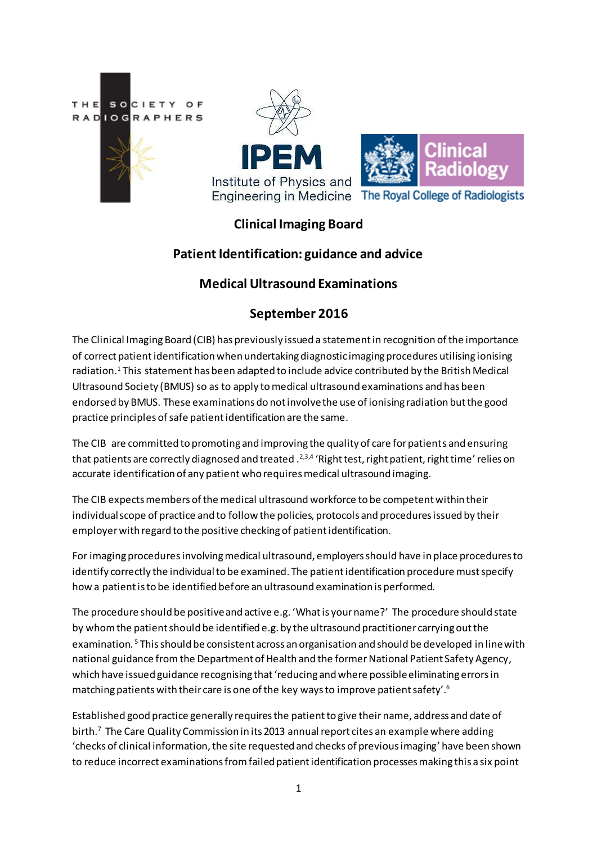

# **Clinical Imaging Board**

## **Patient Identification: guidance and advice**

### **Medical Ultrasound Examinations**

## **September 2016**

The Clinical Imaging Board (CIB) has previously issued a statement in recognition of the importance of correct patient identification when undertaking diagnostic imaging procedures utilising ionising radiation.<sup>1</sup> This statement has been adapted to include advice contributed by the British Medical Ultrasound Society (BMUS) so as to apply to medical ultrasound examinations and has been endorsed by BMUS. These examinations do not involve the use of ionising radiation but the good practice principles of safe patient identification are the same.

The CIB are committed to promoting and improving the quality of care for patients and ensuring that patients are correctly diagnosed and treated .<sup>2,3,4</sup> 'Right test, right patient, right time' relies on accurate identification of any patient who requires medical ultrasound imaging.

The CIB expects members of the medical ultrasound workforce to be competent within their individual scope of practice and to follow the policies, protocols and procedures issued by their employerwith regard to the positive checking of patient identification.

For imaging procedures involving medical ultrasound, employers should have in place proceduresto identify correctly the individual to be examined. The patient identification procedure must specify how a patient is to be identified before an ultrasound examination is performed.

The procedure should be positive and active e.g. 'What is your name?' The procedure should state by whom the patient should be identified e.g. by the ultrasound practitioner carrying out the examination. <sup>5</sup> This should be consistent across an organisation and should be developed in line with national guidance from the Department of Health and the former National Patient Safety Agency, which have issued guidance recognising that 'reducing and where possible eliminating errors in matching patients with their care is one of the key ways to improve patient safety'.<sup>6</sup>

Established good practice generally requires the patient to give their name, address and date of birth.<sup>7</sup> The Care Quality Commission in its 2013 annual report cites an example where adding 'checks of clinical information, the site requested and checks of previous imaging' have been shown to reduce incorrect examinations from failed patient identification processes making this a six point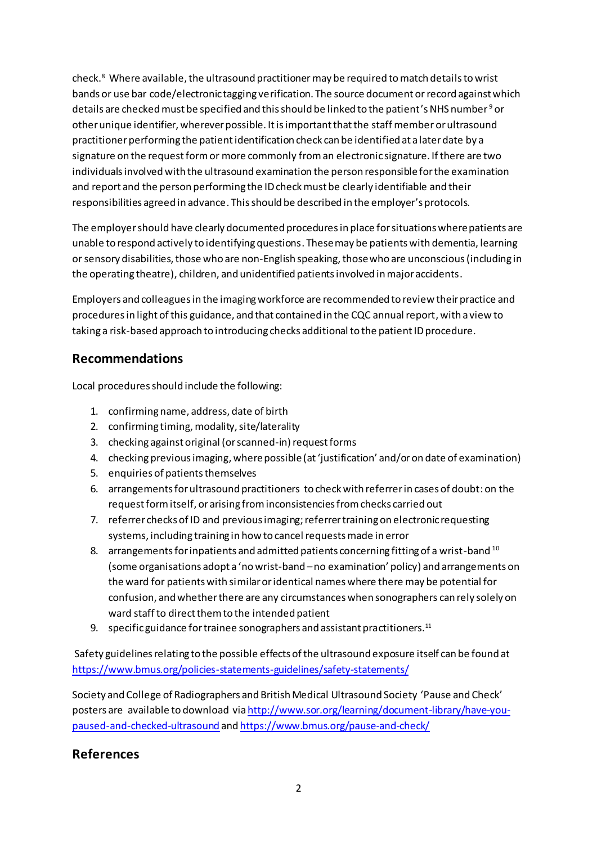check.<sup>8</sup> Where available, the ultrasound practitioner may be required to match details to wrist bands or use bar code/electronic tagging verification. The source document or record against which details are checked must be specified and this should be linked to the patient's NHS number <sup>9</sup>or other unique identifier, wherever possible. It is important that the staff member or ultrasound practitioner performing the patient identification check can be identified at a later date by a signature on the request form or more commonly froman electronic signature. If there are two individuals involved with the ultrasound examination the person responsible for the examination and report and the person performing the ID check must be clearly identifiable and their responsibilities agreed in advance. This should be described in the employer's protocols.

The employer should have clearly documented procedures in place for situations where patients are unable to respond actively to identifying questions. These may be patients with dementia, learning or sensory disabilities, those who are non-English speaking, those who are unconscious(including in the operating theatre), children, and unidentified patients involved in major accidents.

Employers and colleagues in the imaging workforce are recommended to review their practice and procedures in light of this guidance, and that contained in the CQC annual report, with a view to taking a risk-based approach to introducing checks additional to the patient ID procedure.

## **Recommendations**

Local procedures should include the following:

- 1. confirming name, address, date of birth
- 2. confirming timing, modality, site/laterality
- 3. checking against original (or scanned-in) request forms
- 4. checking previous imaging, where possible(at 'justification' and/or on date of examination)
- 5. enquiries of patients themselves
- 6. arrangements for ultrasound practitioners to check with referrer in cases of doubt: on the request form itself, or arising from inconsistencies from checks carried out
- 7. referrer checks of ID and previous imaging; referrer training on electronic requesting systems, including training in how to cancel requests made in error
- 8. arrangements for inpatients and admitted patients concerning fitting of a wrist-band  $^{10}$ (some organisations adopt a 'no wrist-band –no examination' policy) and arrangements on the ward for patients with similar or identical names where there may be potential for confusion, and whether there are any circumstances when sonographers can rely solely on ward staff to direct them to the intended patient
- 9. specific guidance for trainee sonographers and assistant practitioners.<sup>11</sup>

Safety guidelines relating to the possible effects of the ultrasound exposure itself can be found at <https://www.bmus.org/policies-statements-guidelines/safety-statements/>

Society and College of Radiographers and British Medical Ultrasound Society 'Pause and Check' posters are available to download vi[a http://www.sor.org/learning/document-library/have-you](http://www.sor.org/learning/document-library/have-you-paused-and-checked-ultrasound)[paused-and-checked-ultrasound](http://www.sor.org/learning/document-library/have-you-paused-and-checked-ultrasound) an[d https://www.bmus.org/pause-and-check/](https://www.bmus.org/pause-and-check/)

## **References**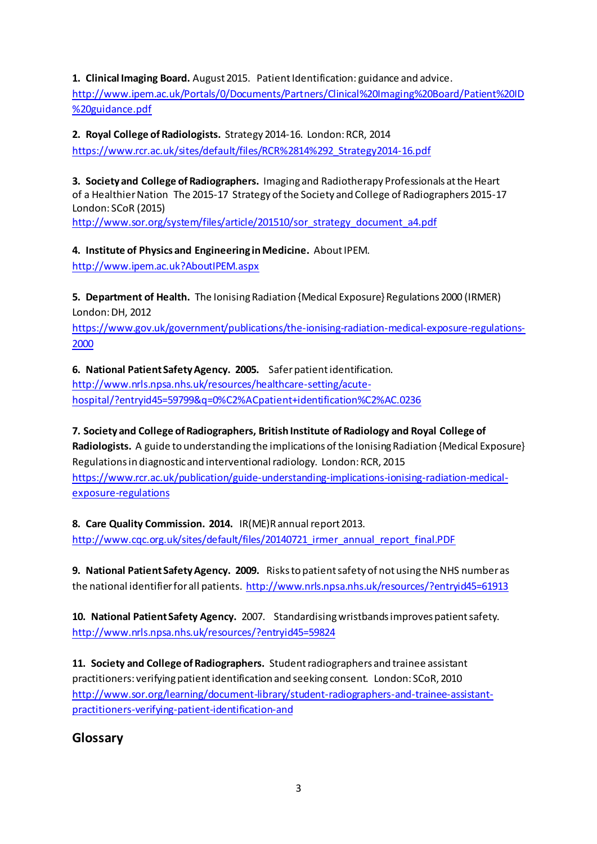**1. Clinical Imaging Board.** August 2015. Patient Identification: guidance and advice. [http://www.ipem.ac.uk/Portals/0/Documents/Partners/Clinical%20Imaging%20Board/Patient%20ID](http://www.ipem.ac.uk/Portals/0/Documents/Partners/Clinical%20Imaging%20Board/Patient%20ID%20guidance.pdf) [%20guidance.pdf](http://www.ipem.ac.uk/Portals/0/Documents/Partners/Clinical%20Imaging%20Board/Patient%20ID%20guidance.pdf)

**2. Royal College of Radiologists.** Strategy 2014-16. London: RCR, 2014 [https://www.rcr.ac.uk/sites/default/files/RCR%2814%292\\_Strategy2014-16.pdf](https://www.rcr.ac.uk/sites/default/files/RCR%2814%292_Strategy2014-16.pdf)

**3. Society and College of Radiographers.** Imaging and Radiotherapy Professionals at the Heart of a Healthier Nation The 2015-17 Strategy of the Society and College of Radiographers 2015-17 London: SCoR (2015)

[http://www.sor.org/system/files/article/201510/sor\\_strategy\\_document\\_a4.pdf](http://www.sor.org/system/files/article/201510/sor_strategy_document_a4.pdf)

**4. Institute of Physics and Engineering in Medicine.** About IPEM. [http://www.ipem.ac.uk?AboutIPEM.aspx](http://www.ipem.ac.uk/?AboutIPEM.aspx)

**5. Department of Health.** The Ionising Radiation {Medical Exposure} Regulations 2000 (IRMER) London: DH, 2012

[https://www.gov.uk/government/publications/the-ionising-radiation-medical-exposure-regulations-](https://www.gov.uk/government/publications/the-ionising-radiation-medical-exposure-regulations-2000)[2000](https://www.gov.uk/government/publications/the-ionising-radiation-medical-exposure-regulations-2000)

**6. National Patient Safety Agency. 2005.** Safer patient identification. [http://www.nrls.npsa.nhs.uk/resources/healthcare-setting/acute-](http://www.nrls.npsa.nhs.uk/resources/healthcare-setting/acute-hospital/?entryid45=59799&q=0%C2%ACpatient+identification%C2%AC.0236)

[hospital/?entryid45=59799&q=0%C2%ACpatient+identification%C2%AC.0236](http://www.nrls.npsa.nhs.uk/resources/healthcare-setting/acute-hospital/?entryid45=59799&q=0%C2%ACpatient+identification%C2%AC.0236)

**7. Society and College of Radiographers, British Institute of Radiology and Royal College of** 

**Radiologists.** A guide to understanding the implications of the Ionising Radiation {Medical Exposure} Regulations in diagnostic and interventional radiology. London: RCR, 2015 [https://www.rcr.ac.uk/publication/guide-understanding-implications-ionising-radiation-medical](https://www.rcr.ac.uk/publication/guide-understanding-implications-ionising-radiation-medical-exposure-regulations)[exposure-regulations](https://www.rcr.ac.uk/publication/guide-understanding-implications-ionising-radiation-medical-exposure-regulations)

**8. Care Quality Commission. 2014.** IR(ME)R annual report 2013. [http://www.cqc.org.uk/sites/default/files/20140721\\_irmer\\_annual\\_report\\_final.PDF](http://www.cqc.org.uk/sites/default/files/20140721_irmer_annual_report_final.PDF)

**9. National Patient Safety Agency. 2009.** Risks to patient safety of not using the NHS number as the national identifier for all patients.<http://www.nrls.npsa.nhs.uk/resources/?entryid45=61913>

**10. National Patient Safety Agency.** 2007. Standardising wristbands improves patient safety. <http://www.nrls.npsa.nhs.uk/resources/?entryid45=59824>

**11. Society and College of Radiographers.** Student radiographers and trainee assistant practitioners: verifying patient identification and seeking consent. London: SCoR, 2010 [http://www.sor.org/learning/document-library/student-radiographers-and-trainee-assistant](http://www.sor.org/learning/document-library/student-radiographers-and-trainee-assistant-practitioners-verifying-patient-identification-and)[practitioners-verifying-patient-identification-and](http://www.sor.org/learning/document-library/student-radiographers-and-trainee-assistant-practitioners-verifying-patient-identification-and)

**Glossary**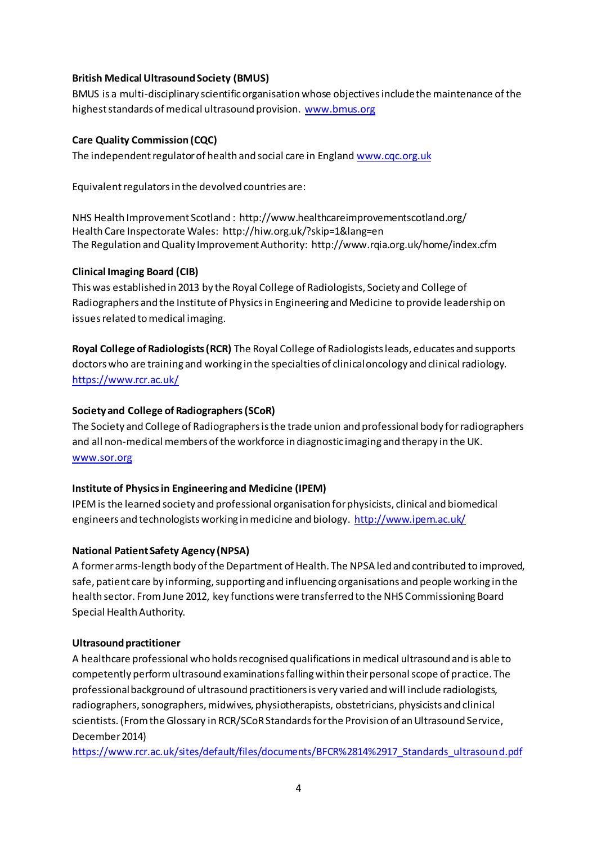#### **British Medical Ultrasound Society (BMUS)**

BMUS is a multi-disciplinary scientific organisation whose objectives include the maintenance of the highest standards of medical ultrasound provision. [www.bmus.org](http://www.bmus.org/)

### **Care Quality Commission (CQC)**

The independent regulator of health and social care in England [www.cqc.org.uk](http://www.cqc.org.uk/)

Equivalent regulatorsin the devolved countries are:

NHS Health Improvement Scotland : <http://www.healthcareimprovementscotland.org/> Health Care Inspectorate Wales:<http://hiw.org.uk/?skip=1&lang=en> The Regulation and Quality Improvement Authority[: http://www.rqia.org.uk/home/index.cfm](http://www.rqia.org.uk/home/index.cfm)

### **Clinical Imaging Board (CIB)**

This was established in 2013 by the Royal College of Radiologists, Society and College of Radiographers and the Institute of Physics in Engineering and Medicine to provide leadership on issues related to medical imaging.

**Royal College of Radiologists (RCR)** The Royal College of Radiologists leads, educates and supports doctors who are training and working in the specialties of clinical oncology and clinical radiology. <https://www.rcr.ac.uk/>

### **Society and College of Radiographers (SCoR)**

The Society and College of Radiographers is the trade union and professional body for radiographers and all non-medical members of the workforce in diagnostic imaging and therapy in the UK. [www.sor.org](http://www.sor.org/)

### **Institute of Physics in Engineering and Medicine (IPEM)**

IPEM is the learned society and professional organisation for physicists, clinical and biomedical engineers and technologists working in medicine and biology.<http://www.ipem.ac.uk/>

#### **National Patient Safety Agency (NPSA)**

A former arms-length body of the Department of Health. The NPSA led and contributed to improved, safe, patient care by informing, supporting and influencing organisations and people working in the health sector. From June 2012, key functions were transferred to the NHS Commissioning Board Special Health Authority.

#### **Ultrasound practitioner**

A healthcare professional who holds recognised qualifications in medical ultrasound and is able to competently perform ultrasound examinations falling within their personal scope of practice. The professional background of ultrasound practitioners is very varied and will include radiologists, radiographers, sonographers, midwives, physiotherapists, obstetricians, physicists and clinical scientists. (From the Glossary in RCR/SCoR Standards for the Provision of an Ultrasound Service, December 2014)

[https://www.rcr.ac.uk/sites/default/files/documents/BFCR%2814%2917\\_Standards\\_ultrasound.pdf](https://www.rcr.ac.uk/sites/default/files/documents/BFCR%2814%2917_Standards_ultrasound.pdf)